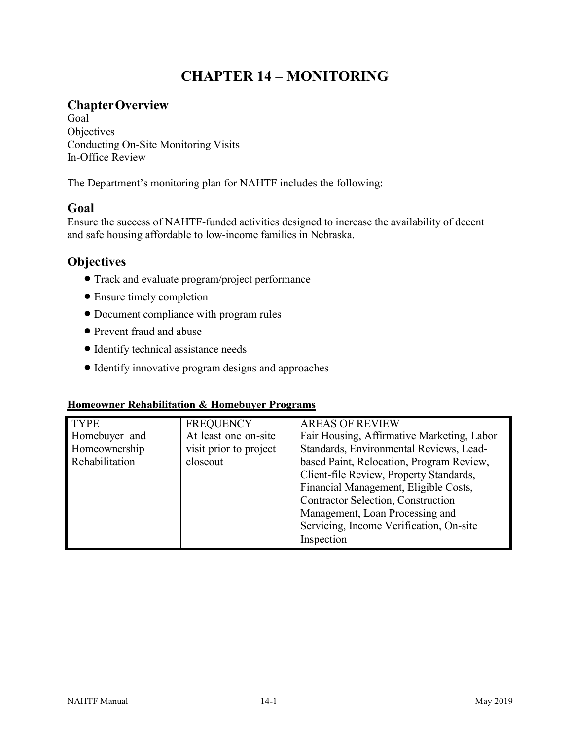# **CHAPTER 14 – MONITORING**

### **ChapterOverview**

Goal **Objectives** Conducting On-Site Monitoring Visits In-Office Review

The Department's monitoring plan for NAHTF includes the following:

## **Goal**

Ensure the success of NAHTF-funded activities designed to increase the availability of decent and safe housing affordable to low-income families in Nebraska.

### **Objectives**

- Track and evaluate program/project performance
- Ensure timely completion
- Document compliance with program rules
- Prevent fraud and abuse
- Identify technical assistance needs
- Identify innovative program designs and approaches

#### **Homeowner Rehabilitation & Homebuyer Programs**

| <b>TYPE</b>    | <b>FREOUENCY</b>       | <b>AREAS OF REVIEW</b>                     |  |
|----------------|------------------------|--------------------------------------------|--|
| Homebuyer and  | At least one on-site   | Fair Housing, Affirmative Marketing, Labor |  |
| Homeownership  | visit prior to project | Standards, Environmental Reviews, Lead-    |  |
| Rehabilitation | closeout               | based Paint, Relocation, Program Review,   |  |
|                |                        | Client-file Review, Property Standards,    |  |
|                |                        | Financial Management, Eligible Costs,      |  |
|                |                        | <b>Contractor Selection, Construction</b>  |  |
|                |                        | Management, Loan Processing and            |  |
|                |                        | Servicing, Income Verification, On-site    |  |
|                |                        | Inspection                                 |  |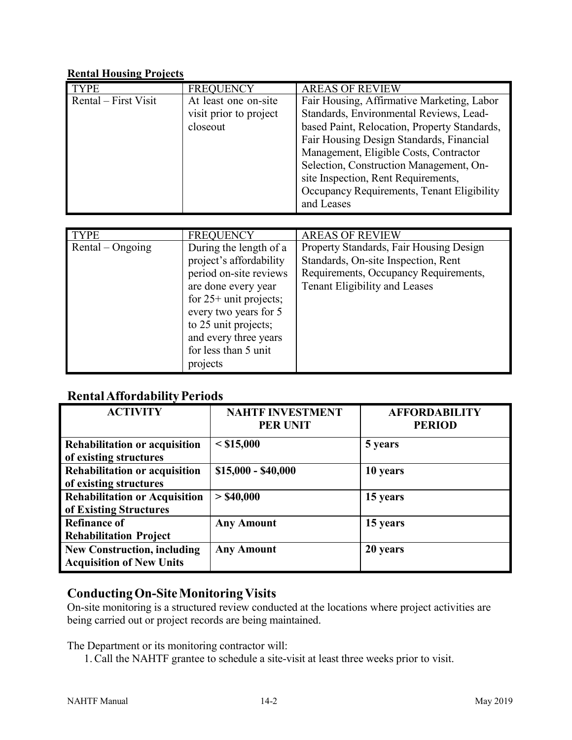#### **Rental Housing Projects**

| <b>TYPE</b>          | <b>FREQUENCY</b>                           | <b>AREAS OF REVIEW</b>                                            |
|----------------------|--------------------------------------------|-------------------------------------------------------------------|
| Rental – First Visit | At least one on-site                       | Fair Housing, Affirmative Marketing, Labor                        |
|                      | visit prior to project                     | Standards, Environmental Reviews, Lead-                           |
|                      | closeout                                   | based Paint, Relocation, Property Standards,                      |
|                      |                                            | Fair Housing Design Standards, Financial                          |
|                      |                                            | Management, Eligible Costs, Contractor                            |
|                      |                                            | Selection, Construction Management, On-                           |
|                      |                                            | site Inspection, Rent Requirements,                               |
|                      |                                            | Occupancy Requirements, Tenant Eligibility                        |
|                      |                                            | and Leases                                                        |
|                      |                                            |                                                                   |
|                      |                                            |                                                                   |
| <b>TYPE</b>          |                                            |                                                                   |
| $Rental - Ongoing$   | <b>FREQUENCY</b><br>During the length of a | <b>AREAS OF REVIEW</b><br>Property Standards, Fair Housing Design |
|                      | project's affordability                    | Standards, On-site Inspection, Rent                               |
|                      | period on-site reviews                     | Requirements, Occupancy Requirements,                             |
|                      | are done every year                        | Tenant Eligibility and Leases                                     |
|                      | for $25+$ unit projects;                   |                                                                   |
|                      | every two years for 5                      |                                                                   |
|                      | to 25 unit projects;                       |                                                                   |
|                      | and every three years                      |                                                                   |
|                      | for less than 5 unit                       |                                                                   |

### **RentalAffordabilityPeriods**

| <b>ACTIVITY</b>                                                       | <b>NAHTF INVESTMENT</b><br><b>PER UNIT</b> | <b>AFFORDABILITY</b><br><b>PERIOD</b> |
|-----------------------------------------------------------------------|--------------------------------------------|---------------------------------------|
| <b>Rehabilitation or acquisition</b><br>of existing structures        | $<$ \$15,000                               | 5 years                               |
| Rehabilitation or acquisition<br>of existing structures               | $$15,000 - $40,000$                        | 10 years                              |
| <b>Rehabilitation or Acquisition</b><br>of Existing Structures        | $>$ \$40,000                               | 15 years                              |
| <b>Refinance of</b><br><b>Rehabilitation Project</b>                  | <b>Any Amount</b>                          | 15 years                              |
| <b>New Construction, including</b><br><b>Acquisition of New Units</b> | <b>Any Amount</b>                          | 20 years                              |

### **ConductingOn-SiteMonitoringVisits**

On-site monitoring is a structured review conducted at the locations where project activities are being carried out or project records are being maintained.

The Department or its monitoring contractor will:

1. Call the NAHTF grantee to schedule a site-visit at least three weeks prior to visit.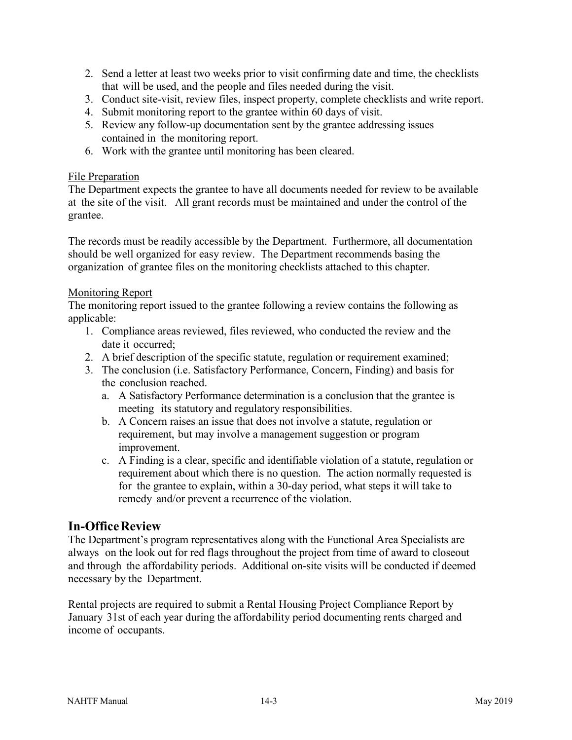- 2. Send a letter at least two weeks prior to visit confirming date and time, the checklists that will be used, and the people and files needed during the visit.
- 3. Conduct site-visit, review files, inspect property, complete checklists and write report.
- 4. Submit monitoring report to the grantee within 60 days of visit.
- 5. Review any follow-up documentation sent by the grantee addressing issues contained in the monitoring report.
- 6. Work with the grantee until monitoring has been cleared.

#### File Preparation

The Department expects the grantee to have all documents needed for review to be available at the site of the visit. All grant records must be maintained and under the control of the grantee.

The records must be readily accessible by the Department. Furthermore, all documentation should be well organized for easy review. The Department recommends basing the organization of grantee files on the monitoring checklists attached to this chapter.

#### Monitoring Report

The monitoring report issued to the grantee following a review contains the following as applicable:

- 1. Compliance areas reviewed, files reviewed, who conducted the review and the date it occurred;
- 2. A brief description of the specific statute, regulation or requirement examined;
- 3. The conclusion (i.e. Satisfactory Performance, Concern, Finding) and basis for the conclusion reached.
	- a. A Satisfactory Performance determination is a conclusion that the grantee is meeting its statutory and regulatory responsibilities.
	- b. A Concern raises an issue that does not involve a statute, regulation or requirement, but may involve a management suggestion or program improvement.
	- c. A Finding is a clear, specific and identifiable violation of a statute, regulation or requirement about which there is no question. The action normally requested is for the grantee to explain, within a 30-day period, what steps it will take to remedy and/or prevent a recurrence of the violation.

### **In-OfficeReview**

The Department's program representatives along with the Functional Area Specialists are always on the look out for red flags throughout the project from time of award to closeout and through the affordability periods. Additional on-site visits will be conducted if deemed necessary by the Department.

Rental projects are required to submit a Rental Housing Project Compliance Report by January 31st of each year during the affordability period documenting rents charged and income of occupants.